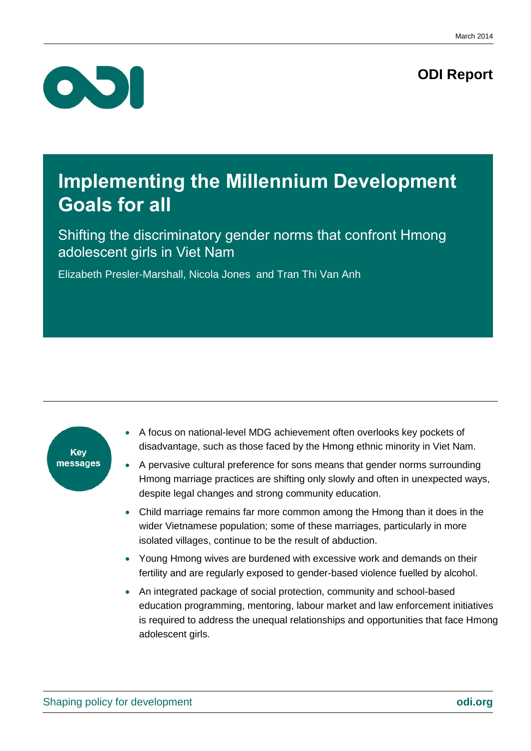### **ODI Report**



## **Implementing the Millennium Development Goals for all**

Shifting the discriminatory gender norms that confront Hmong adolescent girls in Viet Nam

Elizabeth Presler-Marshall, Nicola Jones and Tran Thi Van Anh

### Key messages

- A focus on national-level MDG achievement often overlooks key pockets of disadvantage, such as those faced by the Hmong ethnic minority in Viet Nam.
- A pervasive cultural preference for sons means that gender norms surrounding Hmong marriage practices are shifting only slowly and often in unexpected ways, despite legal changes and strong community education.
- Child marriage remains far more common among the Hmong than it does in the wider Vietnamese population; some of these marriages, particularly in more isolated villages, continue to be the result of abduction.
- Young Hmong wives are burdened with excessive work and demands on their fertility and are regularly exposed to gender-based violence fuelled by alcohol.
- An integrated package of social protection, community and school-based education programming, mentoring, labour market and law enforcement initiatives is required to address the unequal relationships and opportunities that face Hmong adolescent girls.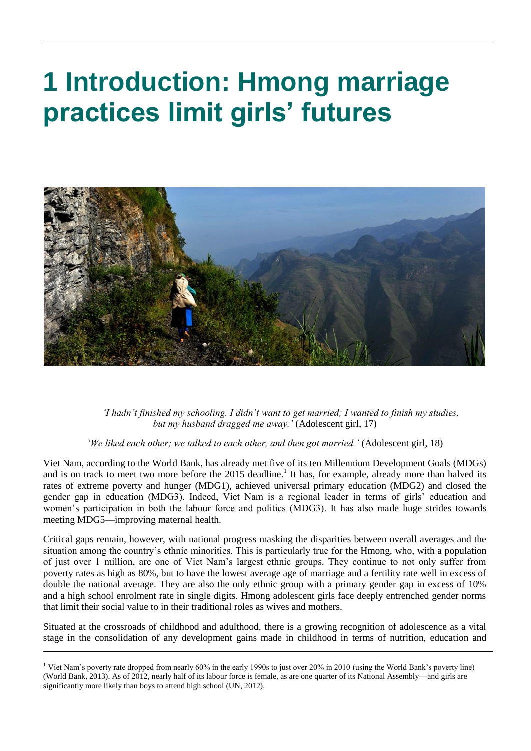# **1 Introduction: Hmong marriage practices limit girls' futures**



*'I hadn't finished my schooling. I didn't want to get married; I wanted to finish my studies, but my husband dragged me away.'* (Adolescent girl, 17)

*'We liked each other; we talked to each other, and then got married.'* (Adolescent girl, 18)

Viet Nam, according to the World Bank, has already met five of its ten Millennium Development Goals (MDGs) and is on track to meet two more before the 2015 deadline.<sup>1</sup> It has, for example, already more than halved its rates of extreme poverty and hunger (MDG1), achieved universal primary education (MDG2) and closed the gender gap in education (MDG3). Indeed, Viet Nam is a regional leader in terms of girls' education and women's participation in both the labour force and politics (MDG3). It has also made huge strides towards meeting MDG5—improving maternal health.

Critical gaps remain, however, with national progress masking the disparities between overall averages and the situation among the country's ethnic minorities. This is particularly true for the Hmong, who, with a population of just over 1 million, are one of Viet Nam's largest ethnic groups. They continue to not only suffer from poverty rates as high as 80%, but to have the lowest average age of marriage and a fertility rate well in excess of double the national average. They are also the only ethnic group with a primary gender gap in excess of 10% and a high school enrolment rate in single digits. Hmong adolescent girls face deeply entrenched gender norms that limit their social value to in their traditional roles as wives and mothers.

Situated at the crossroads of childhood and adulthood, there is a growing recognition of adolescence as a vital stage in the consolidation of any development gains made in childhood in terms of nutrition, education and

<sup>&</sup>lt;sup>1</sup> Viet Nam's poverty rate dropped from nearly 60% in the early 1990s to just over 20% in 2010 (using the World Bank's poverty line) (World Bank, 2013). As of 2012, nearly half of its labour force is female, as are one quarter of its National Assembly—and girls are significantly more likely than boys to attend high school (UN, 2012).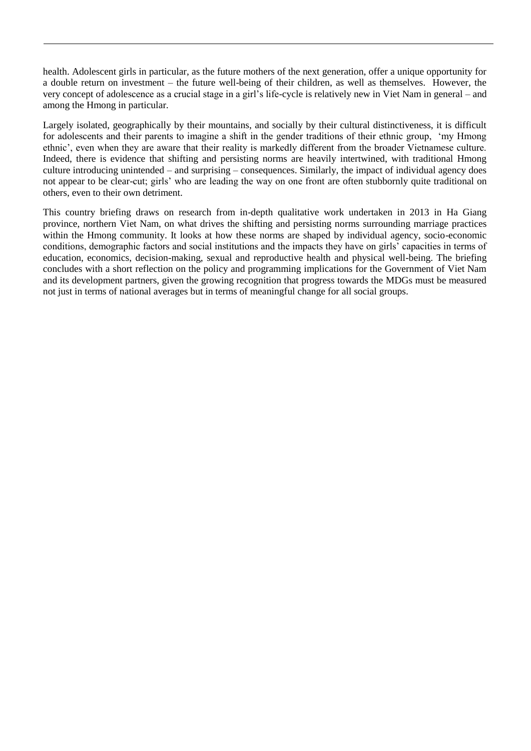health. Adolescent girls in particular, as the future mothers of the next generation, offer a unique opportunity for a double return on investment – the future well-being of their children, as well as themselves. However, the very concept of adolescence as a crucial stage in a girl's life-cycle is relatively new in Viet Nam in general – and among the Hmong in particular.

Largely isolated, geographically by their mountains, and socially by their cultural distinctiveness, it is difficult for adolescents and their parents to imagine a shift in the gender traditions of their ethnic group, 'my Hmong ethnic', even when they are aware that their reality is markedly different from the broader Vietnamese culture. Indeed, there is evidence that shifting and persisting norms are heavily intertwined, with traditional Hmong culture introducing unintended – and surprising – consequences. Similarly, the impact of individual agency does not appear to be clear-cut; girls' who are leading the way on one front are often stubbornly quite traditional on others, even to their own detriment.

This country briefing draws on research from in-depth qualitative work undertaken in 2013 in Ha Giang province, northern Viet Nam, on what drives the shifting and persisting norms surrounding marriage practices within the Hmong community. It looks at how these norms are shaped by individual agency, socio-economic conditions, demographic factors and social institutions and the impacts they have on girls' capacities in terms of education, economics, decision-making, sexual and reproductive health and physical well-being. The briefing concludes with a short reflection on the policy and programming implications for the Government of Viet Nam and its development partners, given the growing recognition that progress towards the MDGs must be measured not just in terms of national averages but in terms of meaningful change for all social groups.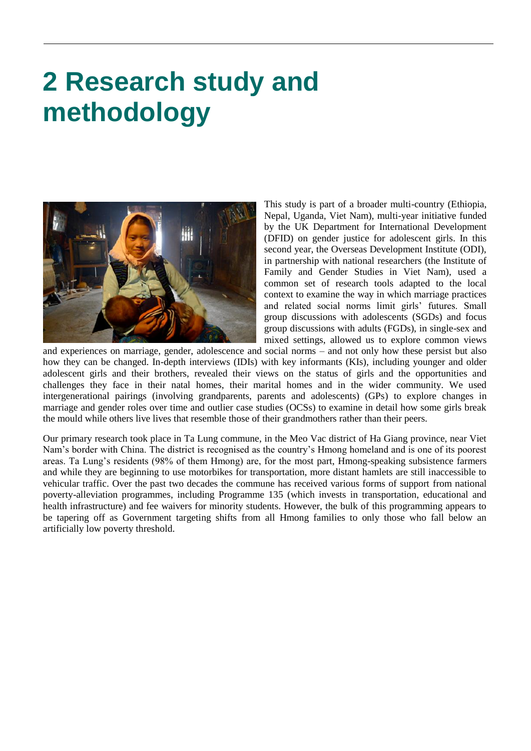# **2 Research study and methodology**



This study is part of a broader multi-country (Ethiopia, Nepal, Uganda, Viet Nam), multi-year initiative funded by the UK Department for International Development (DFID) on gender justice for adolescent girls. In this second year, the Overseas Development Institute (ODI), in partnership with national researchers (the Institute of Family and Gender Studies in Viet Nam), used a common set of research tools adapted to the local context to examine the way in which marriage practices and related social norms limit girls' futures. Small group discussions with adolescents (SGDs) and focus group discussions with adults (FGDs), in single-sex and mixed settings, allowed us to explore common views

and experiences on marriage, gender, adolescence and social norms – and not only how these persist but also how they can be changed. In-depth interviews (IDIs) with key informants (KIs), including younger and older adolescent girls and their brothers, revealed their views on the status of girls and the opportunities and challenges they face in their natal homes, their marital homes and in the wider community. We used intergenerational pairings (involving grandparents, parents and adolescents) (GPs) to explore changes in marriage and gender roles over time and outlier case studies (OCSs) to examine in detail how some girls break the mould while others live lives that resemble those of their grandmothers rather than their peers.

Our primary research took place in Ta Lung commune, in the Meo Vac district of Ha Giang province, near Viet Nam's border with China. The district is recognised as the country's Hmong homeland and is one of its poorest areas. Ta Lung's residents (98% of them Hmong) are, for the most part, Hmong-speaking subsistence farmers and while they are beginning to use motorbikes for transportation, more distant hamlets are still inaccessible to vehicular traffic. Over the past two decades the commune has received various forms of support from national poverty-alleviation programmes, including Programme 135 (which invests in transportation, educational and health infrastructure) and fee waivers for minority students. However, the bulk of this programming appears to be tapering off as Government targeting shifts from all Hmong families to only those who fall below an artificially low poverty threshold.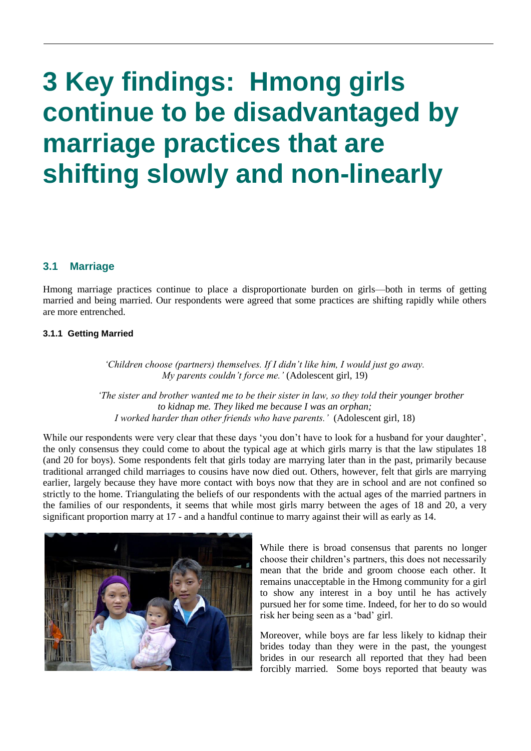# **3 Key findings: Hmong girls continue to be disadvantaged by marriage practices that are shifting slowly and non-linearly**

### **3.1 Marriage**

Hmong marriage practices continue to place a disproportionate burden on girls—both in terms of getting married and being married. Our respondents were agreed that some practices are shifting rapidly while others are more entrenched.

#### **3.1.1 Getting Married**

*'Children choose (partners) themselves. If I didn't like him, I would just go away. My parents couldn't force me.'* (Adolescent girl, 19)

*'The sister and brother wanted me to be their sister in law, so they told their younger brother to kidnap me. They liked me because I was an orphan; I worked harder than other friends who have parents.'* (Adolescent girl, 18)

While our respondents were very clear that these days 'you don't have to look for a husband for your daughter', the only consensus they could come to about the typical age at which girls marry is that the law stipulates 18 (and 20 for boys). Some respondents felt that girls today are marrying later than in the past, primarily because traditional arranged child marriages to cousins have now died out. Others, however, felt that girls are marrying earlier, largely because they have more contact with boys now that they are in school and are not confined so strictly to the home. Triangulating the beliefs of our respondents with the actual ages of the married partners in the families of our respondents, it seems that while most girls marry between the ages of 18 and 20, a very significant proportion marry at 17 - and a handful continue to marry against their will as early as 14.



While there is broad consensus that parents no longer choose their children's partners, this does not necessarily mean that the bride and groom choose each other. It remains unacceptable in the Hmong community for a girl to show any interest in a boy until he has actively pursued her for some time. Indeed, for her to do so would risk her being seen as a 'bad' girl.

Moreover, while boys are far less likely to kidnap their brides today than they were in the past, the youngest brides in our research all reported that they had been forcibly married. Some boys reported that beauty was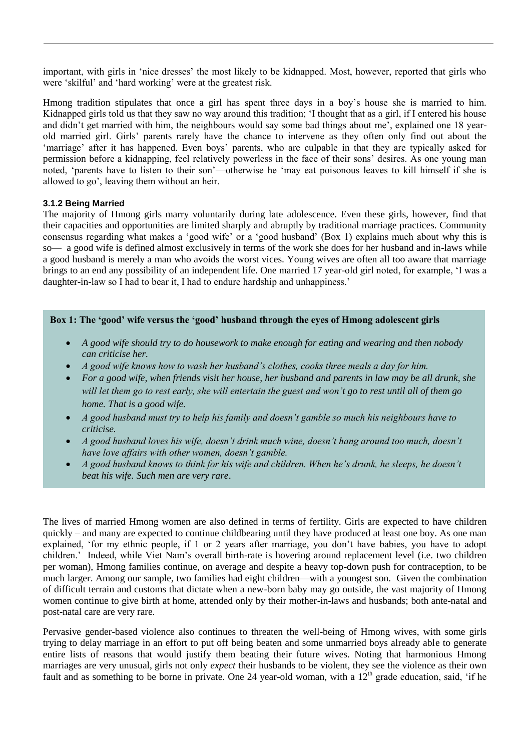important, with girls in 'nice dresses' the most likely to be kidnapped. Most, however, reported that girls who were 'skilful' and 'hard working' were at the greatest risk.

Hmong tradition stipulates that once a girl has spent three days in a boy's house she is married to him. Kidnapped girls told us that they saw no way around this tradition; 'I thought that as a girl, if I entered his house and didn't get married with him, the neighbours would say some bad things about me', explained one 18 yearold married girl. Girls' parents rarely have the chance to intervene as they often only find out about the 'marriage' after it has happened. Even boys' parents, who are culpable in that they are typically asked for permission before a kidnapping, feel relatively powerless in the face of their sons' desires. As one young man noted, 'parents have to listen to their son'—otherwise he 'may eat poisonous leaves to kill himself if she is allowed to go', leaving them without an heir.

#### **3.1.2 Being Married**

The majority of Hmong girls marry voluntarily during late adolescence. Even these girls, however, find that their capacities and opportunities are limited sharply and abruptly by traditional marriage practices. Community consensus regarding what makes a 'good wife' or a 'good husband' (Box 1) explains much about why this is so— a good wife is defined almost exclusively in terms of the work she does for her husband and in-laws while a good husband is merely a man who avoids the worst vices. Young wives are often all too aware that marriage brings to an end any possibility of an independent life. One married 17 year-old girl noted, for example, 'I was a daughter-in-law so I had to bear it, I had to endure hardship and unhappiness.'

#### **Box 1: The 'good' wife versus the 'good' husband through the eyes of Hmong adolescent girls**

- *A good wife should try to do housework to make enough for eating and wearing and then nobody can criticise her.*
- *A good wife knows how to wash her husband's clothes, cooks three meals a day for him.*
- *For a good wife, when friends visit her house, her husband and parents in law may be all drunk, she will let them go to rest early, she will entertain the guest and won't go to rest until all of them go home. That is a good wife.*
- *A good husband must try to help his family and doesn't gamble so much his neighbours have to criticise.*
- *A good husband loves his wife, doesn't drink much wine, doesn't hang around too much, doesn't have love affairs with other women, doesn't gamble.*
- *A good husband knows to think for his wife and children. When he's drunk, he sleeps, he doesn't beat his wife. Such men are very rare*.

The lives of married Hmong women are also defined in terms of fertility. Girls are expected to have children quickly – and many are expected to continue childbearing until they have produced at least one boy. As one man explained, 'for my ethnic people, if 1 or 2 years after marriage, you don't have babies, you have to adopt children.' Indeed, while Viet Nam's overall birth-rate is hovering around replacement level (i.e. two children per woman), Hmong families continue, on average and despite a heavy top-down push for contraception, to be much larger. Among our sample, two families had eight children—with a youngest son. Given the combination of difficult terrain and customs that dictate when a new-born baby may go outside, the vast majority of Hmong women continue to give birth at home, attended only by their mother-in-laws and husbands; both ante-natal and post-natal care are very rare.

Pervasive gender-based violence also continues to threaten the well-being of Hmong wives, with some girls trying to delay marriage in an effort to put off being beaten and some unmarried boys already able to generate entire lists of reasons that would justify them beating their future wives. Noting that harmonious Hmong marriages are very unusual, girls not only *expect* their husbands to be violent, they see the violence as their own fault and as something to be borne in private. One 24 year-old woman, with a  $12<sup>th</sup>$  grade education, said, 'if he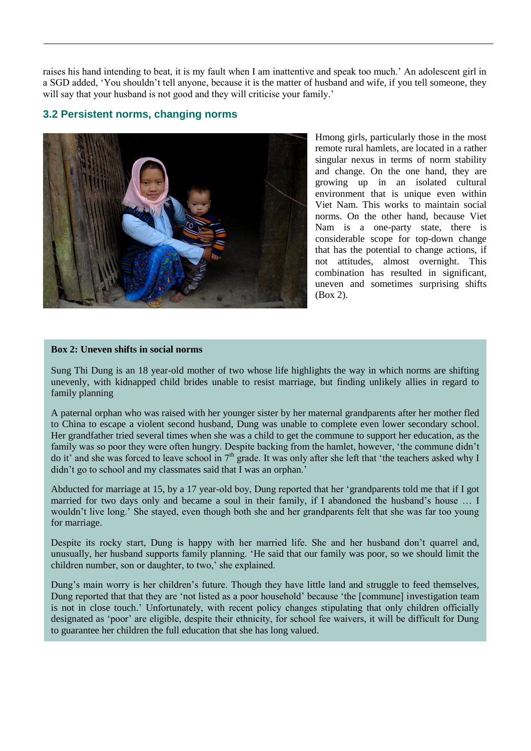raises his hand intending to beat, it is my fault when I am inattentive and speak too much.' An adolescent girl in a SGD added, 'You shouldn't tell anyone, because it is the matter of husband and wife, if you tell someone, they will say that your husband is not good and they will criticise your family.'

### **3.2 Persistent norms, changing norms**



Hmong girls, particularly those in the most remote rural hamlets, are located in a rather singular nexus in terms of norm stability and change. On the one hand, they are growing up in an isolated cultural environment that is unique even within Viet Nam. This works to maintain social norms. On the other hand, because Viet Nam is a one-party state, there is considerable scope for top-down change that has the potential to change actions, if not attitudes, almost overnight. This combination has resulted in significant, uneven and sometimes surprising shifts (Box 2).

#### **Box 2: Uneven shifts in social norms**

Sung Thi Dung is an 18 year-old mother of two whose life highlights the way in which norms are shifting unevenly, with kidnapped child brides unable to resist marriage, but finding unlikely allies in regard to family planning

A paternal orphan who was raised with her younger sister by her maternal grandparents after her mother fled to China to escape a violent second husband, Dung was unable to complete even lower secondary school. Her grandfather tried several times when she was a child to get the commune to support her education, as the family was so poor they were often hungry. Despite backing from the hamlet, however, 'the commune didn't do it' and she was forced to leave school in 7<sup>th</sup> grade. It was only after she left that 'the teachers asked why I didn't go to school and my classmates said that I was an orphan.'

Abducted for marriage at 15, by a 17 year-old boy, Dung reported that her 'grandparents told me that if I got married for two days only and became a soul in their family, if I abandoned the husband's house … I wouldn't live long.' She stayed, even though both she and her grandparents felt that she was far too young for marriage.

Despite its rocky start. Dung is happy with her married life. She and her husband don't quarrel and, unusually, her husband supports family planning. 'He said that our family was poor, so we should limit the children number, son or daughter, to two,' she explained.

Dung's main worry is her children's future. Though they have little land and struggle to feed themselves, Dung reported that that they are 'not listed as a poor household' because 'the [commune] investigation team is not in close touch.' Unfortunately, with recent policy changes stipulating that only children officially designated as 'poor' are eligible, despite their ethnicity, for school fee waivers, it will be difficult for Dung to guarantee her children the full education that she has long valued.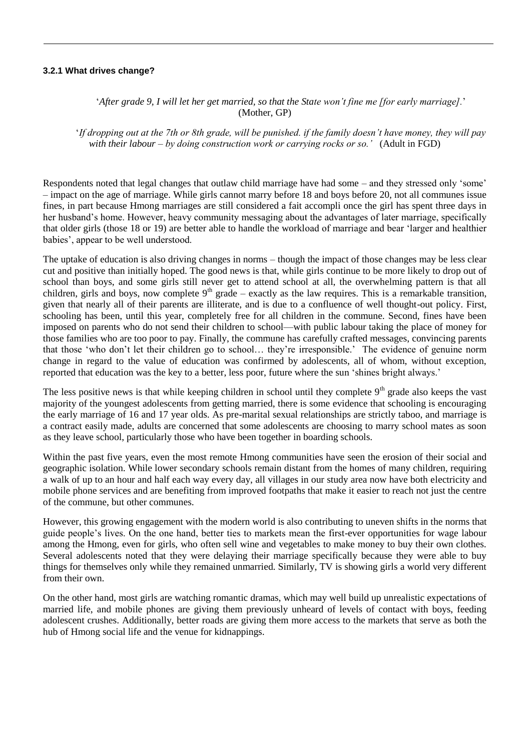#### **3.2.1 What drives change?**

'*After grade 9, I will let her get married, so that the State won't fine me [for early marriage].*' (Mother, GP)

'*If dropping out at the 7th or 8th grade, will be punished. if the family doesn't have money, they will pay with their labour – by doing construction work or carrying rocks or so.'* (Adult in FGD)

Respondents noted that legal changes that outlaw child marriage have had some – and they stressed only 'some' – impact on the age of marriage. While girls cannot marry before 18 and boys before 20, not all communes issue fines, in part because Hmong marriages are still considered a fait accompli once the girl has spent three days in her husband's home. However, heavy community messaging about the advantages of later marriage, specifically that older girls (those 18 or 19) are better able to handle the workload of marriage and bear 'larger and healthier babies', appear to be well understood.

The uptake of education is also driving changes in norms – though the impact of those changes may be less clear cut and positive than initially hoped. The good news is that, while girls continue to be more likely to drop out of school than boys, and some girls still never get to attend school at all, the overwhelming pattern is that all children, girls and boys, now complete  $9<sup>th</sup>$  grade – exactly as the law requires. This is a remarkable transition, given that nearly all of their parents are illiterate, and is due to a confluence of well thought-out policy. First, schooling has been, until this year, completely free for all children in the commune. Second, fines have been imposed on parents who do not send their children to school—with public labour taking the place of money for those families who are too poor to pay. Finally, the commune has carefully crafted messages, convincing parents that those 'who don't let their children go to school… they're irresponsible.' The evidence of genuine norm change in regard to the value of education was confirmed by adolescents, all of whom, without exception, reported that education was the key to a better, less poor, future where the sun 'shines bright always.'

The less positive news is that while keeping children in school until they complete  $9<sup>th</sup>$  grade also keeps the vast majority of the youngest adolescents from getting married, there is some evidence that schooling is encouraging the early marriage of 16 and 17 year olds. As pre-marital sexual relationships are strictly taboo, and marriage is a contract easily made, adults are concerned that some adolescents are choosing to marry school mates as soon as they leave school, particularly those who have been together in boarding schools.

Within the past five years, even the most remote Hmong communities have seen the erosion of their social and geographic isolation. While lower secondary schools remain distant from the homes of many children, requiring a walk of up to an hour and half each way every day, all villages in our study area now have both electricity and mobile phone services and are benefiting from improved footpaths that make it easier to reach not just the centre of the commune, but other communes.

However, this growing engagement with the modern world is also contributing to uneven shifts in the norms that guide people's lives. On the one hand, better ties to markets mean the first-ever opportunities for wage labour among the Hmong, even for girls, who often sell wine and vegetables to make money to buy their own clothes. Several adolescents noted that they were delaying their marriage specifically because they were able to buy things for themselves only while they remained unmarried. Similarly, TV is showing girls a world very different from their own.

On the other hand, most girls are watching romantic dramas, which may well build up unrealistic expectations of married life, and mobile phones are giving them previously unheard of levels of contact with boys, feeding adolescent crushes. Additionally, better roads are giving them more access to the markets that serve as both the hub of Hmong social life and the venue for kidnappings.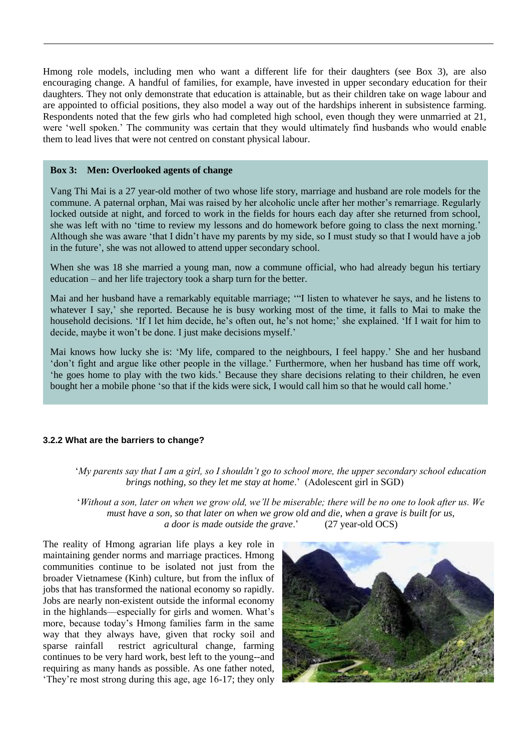Hmong role models, including men who want a different life for their daughters (see Box 3), are also encouraging change. A handful of families, for example, have invested in upper secondary education for their daughters. They not only demonstrate that education is attainable, but as their children take on wage labour and are appointed to official positions, they also model a way out of the hardships inherent in subsistence farming. Respondents noted that the few girls who had completed high school, even though they were unmarried at 21, were 'well spoken.' The community was certain that they would ultimately find husbands who would enable them to lead lives that were not centred on constant physical labour.

#### **Box 3: Men: Overlooked agents of change**

Vang Thi Mai is a 27 year-old mother of two whose life story, marriage and husband are role models for the commune. A paternal orphan, Mai was raised by her alcoholic uncle after her mother's remarriage. Regularly locked outside at night, and forced to work in the fields for hours each day after she returned from school, she was left with no 'time to review my lessons and do homework before going to class the next morning.' Although she was aware 'that I didn't have my parents by my side, so I must study so that I would have a job in the future', she was not allowed to attend upper secondary school.

When she was 18 she married a young man, now a commune official, who had already begun his tertiary education – and her life trajectory took a sharp turn for the better.

Mai and her husband have a remarkably equitable marriage; '"I listen to whatever he says, and he listens to whatever I say,' she reported. Because he is busy working most of the time, it falls to Mai to make the household decisions. 'If I let him decide, he's often out, he's not home;' she explained. 'If I wait for him to decide, maybe it won't be done. I just make decisions myself.'

Mai knows how lucky she is: 'My life, compared to the neighbours, I feel happy.' She and her husband 'don't fight and argue like other people in the village.' Furthermore, when her husband has time off work, 'he goes home to play with the two kids.' Because they share decisions relating to their children, he even bought her a mobile phone 'so that if the kids were sick, I would call him so that he would call home.'

### **3.2.2 What are the barriers to change?**

'*My parents say that I am a girl, so I shouldn't go to school more, the upper secondary school education brings nothing, so they let me stay at home*.' (Adolescent girl in SGD)

'*Without a son, later on when we grow old, we'll be miserable; there will be no one to look after us. We must have a son, so that later on when we grow old and die, when a grave is built for us, a door is made outside the grave*.' (27 year-old OCS)

The reality of Hmong agrarian life plays a key role in maintaining gender norms and marriage practices. Hmong communities continue to be isolated not just from the broader Vietnamese (Kinh) culture, but from the influx of jobs that has transformed the national economy so rapidly. Jobs are nearly non-existent outside the informal economy in the highlands—especially for girls and women. What's more, because today's Hmong families farm in the same way that they always have, given that rocky soil and sparse rainfall restrict agricultural change, farming continues to be very hard work, best left to the young--and requiring as many hands as possible. As one father noted, 'They're most strong during this age, age 16-17; they only

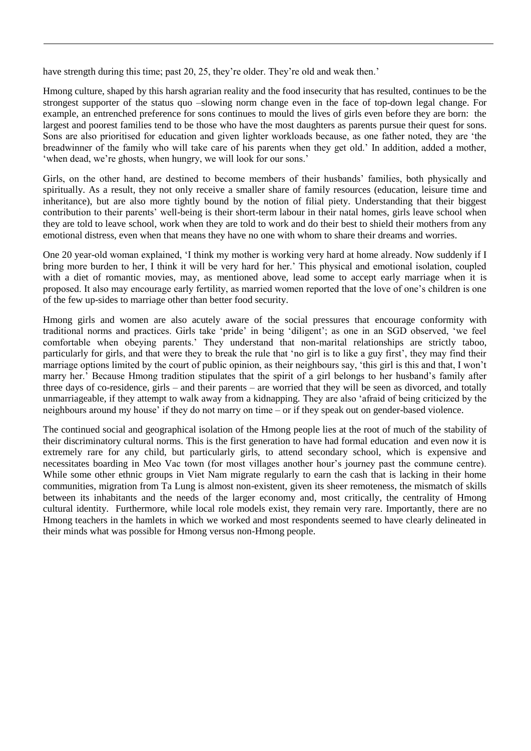have strength during this time; past 20, 25, they're older. They're old and weak then.'

Hmong culture, shaped by this harsh agrarian reality and the food insecurity that has resulted, continues to be the strongest supporter of the status quo –slowing norm change even in the face of top-down legal change. For example, an entrenched preference for sons continues to mould the lives of girls even before they are born: the largest and poorest families tend to be those who have the most daughters as parents pursue their quest for sons. Sons are also prioritised for education and given lighter workloads because, as one father noted, they are 'the breadwinner of the family who will take care of his parents when they get old.' In addition, added a mother, 'when dead, we're ghosts, when hungry, we will look for our sons.'

Girls, on the other hand, are destined to become members of their husbands' families, both physically and spiritually. As a result, they not only receive a smaller share of family resources (education, leisure time and inheritance), but are also more tightly bound by the notion of filial piety. Understanding that their biggest contribution to their parents' well-being is their short-term labour in their natal homes, girls leave school when they are told to leave school, work when they are told to work and do their best to shield their mothers from any emotional distress, even when that means they have no one with whom to share their dreams and worries.

One 20 year-old woman explained, 'I think my mother is working very hard at home already. Now suddenly if I bring more burden to her, I think it will be very hard for her.' This physical and emotional isolation, coupled with a diet of romantic movies, may, as mentioned above, lead some to accept early marriage when it is proposed. It also may encourage early fertility, as married women reported that the love of one's children is one of the few up-sides to marriage other than better food security.

Hmong girls and women are also acutely aware of the social pressures that encourage conformity with traditional norms and practices. Girls take 'pride' in being 'diligent'; as one in an SGD observed, 'we feel comfortable when obeying parents.' They understand that non-marital relationships are strictly taboo, particularly for girls, and that were they to break the rule that 'no girl is to like a guy first', they may find their marriage options limited by the court of public opinion, as their neighbours say, 'this girl is this and that, I won't marry her.' Because Hmong tradition stipulates that the spirit of a girl belongs to her husband's family after three days of co-residence, girls – and their parents – are worried that they will be seen as divorced, and totally unmarriageable, if they attempt to walk away from a kidnapping. They are also 'afraid of being criticized by the neighbours around my house' if they do not marry on time – or if they speak out on gender-based violence.

The continued social and geographical isolation of the Hmong people lies at the root of much of the stability of their discriminatory cultural norms. This is the first generation to have had formal education and even now it is extremely rare for any child, but particularly girls, to attend secondary school, which is expensive and necessitates boarding in Meo Vac town (for most villages another hour's journey past the commune centre). While some other ethnic groups in Viet Nam migrate regularly to earn the cash that is lacking in their home communities, migration from Ta Lung is almost non-existent, given its sheer remoteness, the mismatch of skills between its inhabitants and the needs of the larger economy and, most critically, the centrality of Hmong cultural identity. Furthermore, while local role models exist, they remain very rare. Importantly, there are no Hmong teachers in the hamlets in which we worked and most respondents seemed to have clearly delineated in their minds what was possible for Hmong versus non-Hmong people.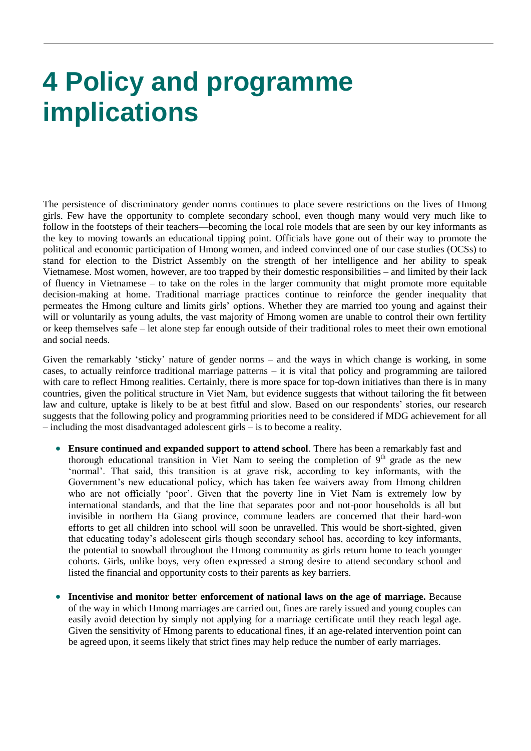## **4 Policy and programme implications**

The persistence of discriminatory gender norms continues to place severe restrictions on the lives of Hmong girls. Few have the opportunity to complete secondary school, even though many would very much like to follow in the footsteps of their teachers—becoming the local role models that are seen by our key informants as the key to moving towards an educational tipping point. Officials have gone out of their way to promote the political and economic participation of Hmong women, and indeed convinced one of our case studies (OCSs) to stand for election to the District Assembly on the strength of her intelligence and her ability to speak Vietnamese. Most women, however, are too trapped by their domestic responsibilities – and limited by their lack of fluency in Vietnamese – to take on the roles in the larger community that might promote more equitable decision-making at home. Traditional marriage practices continue to reinforce the gender inequality that permeates the Hmong culture and limits girls' options. Whether they are married too young and against their will or voluntarily as young adults, the vast majority of Hmong women are unable to control their own fertility or keep themselves safe – let alone step far enough outside of their traditional roles to meet their own emotional and social needs.

Given the remarkably 'sticky' nature of gender norms – and the ways in which change is working, in some cases, to actually reinforce traditional marriage patterns – it is vital that policy and programming are tailored with care to reflect Hmong realities. Certainly, there is more space for top-down initiatives than there is in many countries, given the political structure in Viet Nam, but evidence suggests that without tailoring the fit between law and culture, uptake is likely to be at best fitful and slow. Based on our respondents' stories, our research suggests that the following policy and programming priorities need to be considered if MDG achievement for all – including the most disadvantaged adolescent girls – is to become a reality.

- **Ensure continued and expanded support to attend school**. There has been a remarkably fast and thorough educational transition in Viet Nam to seeing the completion of  $9<sup>th</sup>$  grade as the new 'normal'. That said, this transition is at grave risk, according to key informants, with the Government's new educational policy, which has taken fee waivers away from Hmong children who are not officially 'poor'. Given that the poverty line in Viet Nam is extremely low by international standards, and that the line that separates poor and not-poor households is all but invisible in northern Ha Giang province, commune leaders are concerned that their hard-won efforts to get all children into school will soon be unravelled. This would be short-sighted, given that educating today's adolescent girls though secondary school has, according to key informants, the potential to snowball throughout the Hmong community as girls return home to teach younger cohorts. Girls, unlike boys, very often expressed a strong desire to attend secondary school and listed the financial and opportunity costs to their parents as key barriers.
- **Incentivise and monitor better enforcement of national laws on the age of marriage.** Because of the way in which Hmong marriages are carried out, fines are rarely issued and young couples can easily avoid detection by simply not applying for a marriage certificate until they reach legal age. Given the sensitivity of Hmong parents to educational fines, if an age-related intervention point can be agreed upon, it seems likely that strict fines may help reduce the number of early marriages.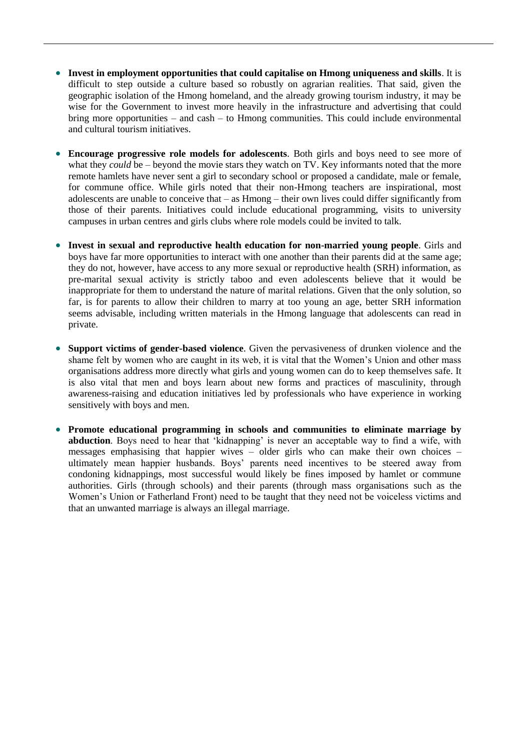- **Invest in employment opportunities that could capitalise on Hmong uniqueness and skills**. It is difficult to step outside a culture based so robustly on agrarian realities. That said, given the geographic isolation of the Hmong homeland, and the already growing tourism industry, it may be wise for the Government to invest more heavily in the infrastructure and advertising that could bring more opportunities – and cash – to Hmong communities. This could include environmental and cultural tourism initiatives.
- **Encourage progressive role models for adolescents**. Both girls and boys need to see more of what they *could* be – beyond the movie stars they watch on TV. Key informants noted that the more remote hamlets have never sent a girl to secondary school or proposed a candidate, male or female, for commune office. While girls noted that their non-Hmong teachers are inspirational, most adolescents are unable to conceive that – as Hmong – their own lives could differ significantly from those of their parents. Initiatives could include educational programming, visits to university campuses in urban centres and girls clubs where role models could be invited to talk.
- **Invest in sexual and reproductive health education for non-married young people**. Girls and boys have far more opportunities to interact with one another than their parents did at the same age; they do not, however, have access to any more sexual or reproductive health (SRH) information, as pre-marital sexual activity is strictly taboo and even adolescents believe that it would be inappropriate for them to understand the nature of marital relations. Given that the only solution, so far, is for parents to allow their children to marry at too young an age, better SRH information seems advisable, including written materials in the Hmong language that adolescents can read in private.
- **Support victims of gender-based violence**. Given the pervasiveness of drunken violence and the shame felt by women who are caught in its web, it is vital that the Women's Union and other mass organisations address more directly what girls and young women can do to keep themselves safe. It is also vital that men and boys learn about new forms and practices of masculinity, through awareness-raising and education initiatives led by professionals who have experience in working sensitively with boys and men.
- **Promote educational programming in schools and communities to eliminate marriage by abduction**. Boys need to hear that 'kidnapping' is never an acceptable way to find a wife, with messages emphasising that happier wives – older girls who can make their own choices – ultimately mean happier husbands. Boys' parents need incentives to be steered away from condoning kidnappings, most successful would likely be fines imposed by hamlet or commune authorities. Girls (through schools) and their parents (through mass organisations such as the Women's Union or Fatherland Front) need to be taught that they need not be voiceless victims and that an unwanted marriage is always an illegal marriage.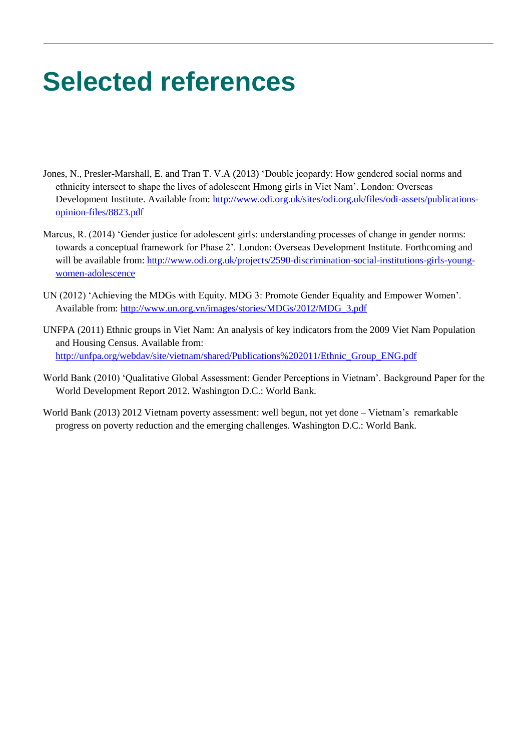## **Selected references**

- Jones, N., Presler-Marshall, E. and Tran T. V.A (2013) 'Double jeopardy: How gendered social norms and ethnicity intersect to shape the lives of adolescent Hmong girls in Viet Nam'. London: Overseas Development Institute. Available from: [http://www.odi.org.uk/sites/odi.org.uk/files/odi-assets/publications](http://www.odi.org.uk/sites/odi.org.uk/files/odi-assets/publications-opinion-files/8823.pdf)[opinion-files/8823.pdf](http://www.odi.org.uk/sites/odi.org.uk/files/odi-assets/publications-opinion-files/8823.pdf)
- Marcus, R. (2014) 'Gender justice for adolescent girls: understanding processes of change in gender norms: towards a conceptual framework for Phase 2'. London: Overseas Development Institute. Forthcoming and will be available from: [http://www.odi.org.uk/projects/2590-discrimination-social-institutions-girls-young](http://www.odi.org.uk/projects/2590-discrimination-social-institutions-girls-young-women-adolescence)[women-adolescence](http://www.odi.org.uk/projects/2590-discrimination-social-institutions-girls-young-women-adolescence)
- UN (2012) 'Achieving the MDGs with Equity. MDG 3: Promote Gender Equality and Empower Women'. Available from: [http://www.un.org.vn/images/stories/MDGs/2012/MDG\\_3.pdf](http://www.un.org.vn/images/stories/MDGs/2012/MDG_3.pdf)
- UNFPA (2011) Ethnic groups in Viet Nam: An analysis of key indicators from the 2009 Viet Nam Population and Housing Census. Available from: [http://unfpa.org/webdav/site/vietnam/shared/Publications%202011/Ethnic\\_Group\\_ENG.pdf](http://unfpa.org/webdav/site/vietnam/shared/Publications%202011/Ethnic_Group_ENG.pdf)
- World Bank (2010) 'Qualitative Global Assessment: Gender Perceptions in Vietnam'. Background Paper for the World Development Report 2012. Washington D.C.: World Bank.
- World Bank (2013) 2012 Vietnam poverty assessment: well begun, not yet done Vietnam's remarkable progress on poverty reduction and the emerging challenges. Washington D.C.: World Bank.